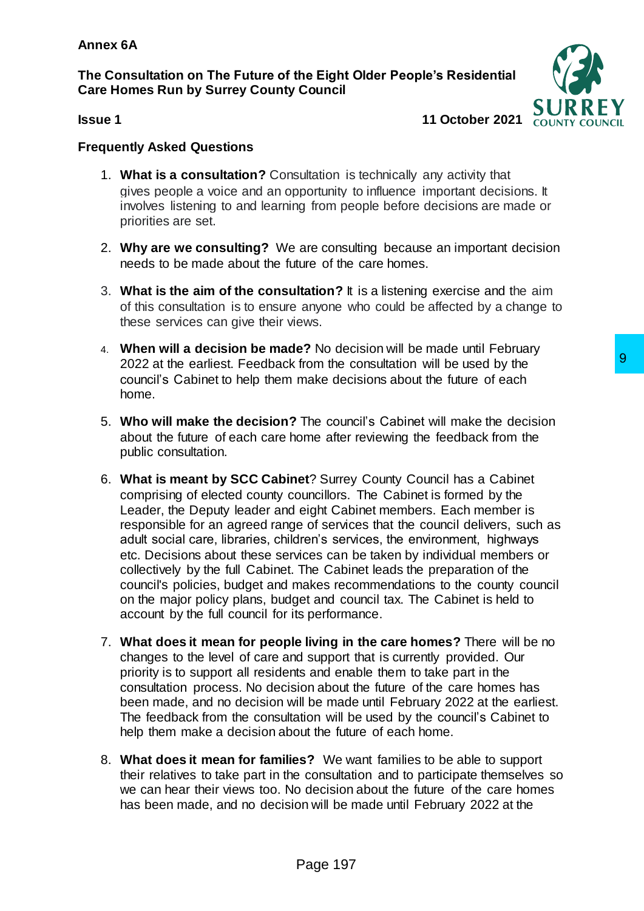**The Consultation on The Future of the Eight Older People's Residential Care Homes Run by Surrey County Council**



**Issue 1 11 October 2021**

## **Frequently Asked Questions**

- 1. **What is a consultation?** Consultation is technically any activity that gives people a voice and an opportunity to influence important decisions. It involves listening to and learning from people before decisions are made or priorities are set.
- 2. **Why are we consulting?** We are consulting because an important decision needs to be made about the future of the care homes.
- 3. **What is the aim of the consultation?** It is a listening exercise and the aim of this consultation is to ensure anyone who could be affected by a change to these services can give their views.
- 4. **When will a decision be made?** No decision will be made until February 2022 at the earliest. Feedback from the consultation will be used by the council's Cabinet to help them make decisions about the future of each home.
- 5. **Who will make the decision?** The council's Cabinet will make the decision about the future of each care home after reviewing the feedback from the public consultation.
- 6. **What is meant by SCC Cabinet**? Surrey County Council has a Cabinet comprising of elected county councillors. The Cabinet is formed by the Leader, the Deputy leader and eight Cabinet members. Each member is responsible for an agreed range of services that the council delivers, such as adult social care, libraries, children's services, the environment, highways etc. Decisions about these services can be taken by individual members or collectively by the full Cabinet. The Cabinet leads the preparation of the council's policies, budget and makes recommendations to the county council on the major policy plans, budget and council tax. The Cabinet is held to account by the full council for its performance. from the consultation will be used by the<br>
make decisions about the future of each<br>
The council's Cabinet will make the decision<br>
one after reviewing the feedback from the<br>
ere? Surrey County Council has a Cabinet<br>
usignt
- 7. **What does it mean for people living in the care homes?** There will be no changes to the level of care and support that is currently provided. Our priority is to support all residents and enable them to take part in the consultation process. No decision about the future of the care homes has been made, and no decision will be made until February 2022 at the earliest. The feedback from the consultation will be used by the council's Cabinet to help them make a decision about the future of each home.
- 8. **What does it mean for families?** We want families to be able to support their relatives to take part in the consultation and to participate themselves so we can hear their views too. No decision about the future of the care homes has been made, and no decision will be made until February 2022 at the